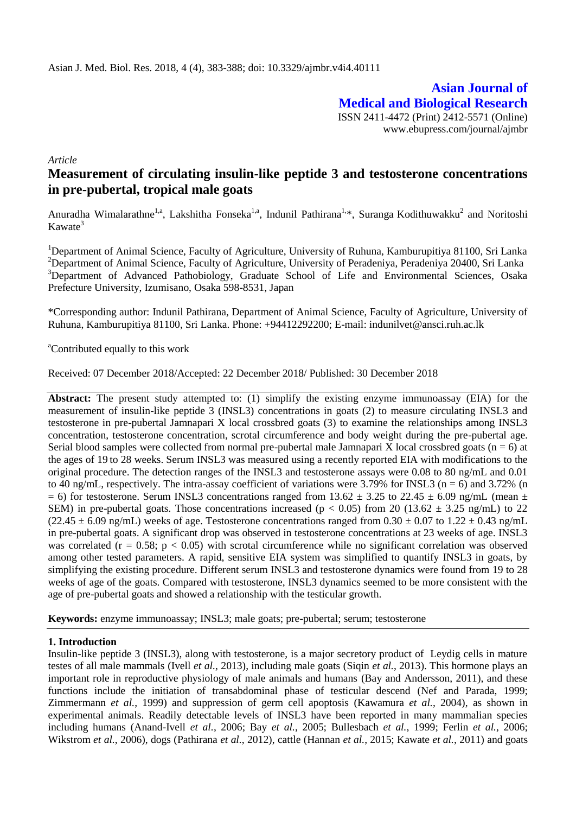**Asian Journal of Medical and Biological Research** ISSN 2411-4472 (Print) 2412-5571 (Online) www.ebupress.com/journal/ajmbr

*Article*

# **Measurement of circulating insulin-like peptide 3 and testosterone concentrations in pre-pubertal, tropical male goats**

Anuradha Wimalarathne<sup>1,a</sup>, Lakshitha Fonseka<sup>1,a</sup>, Indunil Pathirana<sup>1,</sup>\*, Suranga Kodithuwakku<sup>2</sup> and Noritoshi  $Kawate<sup>3</sup>$ 

<sup>1</sup>Department of Animal Science, Faculty of Agriculture, University of Ruhuna, Kamburupitiya 81100, Sri Lanka <sup>2</sup>Department of Animal Science, Faculty of Agriculture, University of Peradeniya, Peradeniya 20400, Sri Lanka <sup>3</sup>Department of Advanced Pathobiology, Graduate School of Life and Environmental Sciences, Osaka Prefecture University, Izumisano, Osaka 598-8531, Japan

\*Corresponding author: Indunil Pathirana, Department of Animal Science, Faculty of Agriculture, University of Ruhuna, Kamburupitiya 81100, Sri Lanka. Phone: +94412292200; E-mail: [indunilvet@ansci.ruh.ac.lk](mailto:indunilvet@ansci.ruh.ac.lk)

<sup>a</sup>Contributed equally to this work

Received: 07 December 2018/Accepted: 22 December 2018/ Published: 30 December 2018

**Abstract:** The present study attempted to: (1) simplify the existing enzyme immunoassay (EIA) for the measurement of insulin-like peptide 3 (INSL3) concentrations in goats (2) to measure circulating INSL3 and testosterone in pre-pubertal Jamnapari X local crossbred goats (3) to examine the relationships among INSL3 concentration, testosterone concentration, scrotal circumference and body weight during the pre-pubertal age. Serial blood samples were collected from normal pre-pubertal male Jamnapari X local crossbred goats ( $n = 6$ ) at the ages of 19 to 28 weeks. Serum INSL3 was measured using a recently reported EIA with modifications to the original procedure. The detection ranges of the INSL3 and testosterone assays were 0.08 to 80 ng/mL and 0.01 to 40 ng/mL, respectively. The intra-assay coefficient of variations were 3.79% for INSL3 (n = 6) and 3.72% (n  $= 6$ ) for testosterone. Serum INSL3 concentrations ranged from 13.62  $\pm$  3.25 to 22.45  $\pm$  6.09 ng/mL (mean  $\pm$ SEM) in pre-pubertal goats. Those concentrations increased ( $p < 0.05$ ) from 20 (13.62  $\pm$  3.25 ng/mL) to 22  $(22.45 \pm 6.09 \text{ ng/mL})$  weeks of age. Testosterone concentrations ranged from  $0.30 \pm 0.07$  to  $1.22 \pm 0.43 \text{ ng/mL}$ in pre-pubertal goats. A significant drop was observed in testosterone concentrations at 23 weeks of age. INSL3 was correlated ( $r = 0.58$ ;  $p < 0.05$ ) with scrotal circumference while no significant correlation was observed among other tested parameters. A rapid, sensitive EIA system was simplified to quantify INSL3 in goats, by simplifying the existing procedure. Different serum INSL3 and testosterone dynamics were found from 19 to 28 weeks of age of the goats. Compared with testosterone, INSL3 dynamics seemed to be more consistent with the age of pre-pubertal goats and showed a relationship with the testicular growth.

**Keywords:** enzyme immunoassay; INSL3; male goats; pre-pubertal; serum; testosterone

# **1. Introduction**

Insulin-like peptide 3 (INSL3), along with testosterone, is a major secretory product of Leydig cells in mature testes of all male mammals (Ivell *et al.*, 2013), including male goats (Siqin *et al.*, 2013). This hormone plays an important role in reproductive physiology of male animals and humans (Bay and Andersson, 2011), and these functions include the initiation of transabdominal phase of testicular descend (Nef and Parada, 1999; Zimmermann *et al.*, 1999) and suppression of germ cell apoptosis (Kawamura *et al.*, 2004), as shown in experimental animals. Readily detectable levels of INSL3 have been reported in many mammalian species including humans (Anand-Ivell *et al.*, 2006; Bay *et al.*, 2005; Bullesbach *et al.*, 1999; Ferlin *et al.*, 2006; Wikstrom *et al.*, 2006), dogs (Pathirana *et al.*, 2012), cattle (Hannan *et al.*, 2015; Kawate *et al.*, 2011) and goats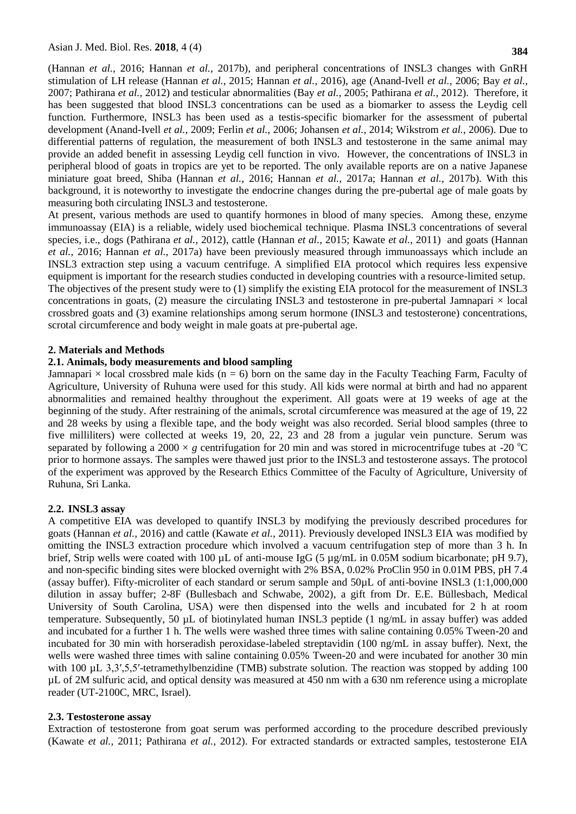(Hannan *et al.*, 2016; Hannan *et al.*, 2017b), and peripheral concentrations of INSL3 changes with GnRH stimulation of LH release (Hannan *et al.*, 2015; Hannan *et al.*, 2016), age (Anand-Ivell *et al.*, 2006; Bay *et al.*, 2007; Pathirana *et al.*, 2012) and testicular abnormalities (Bay *et al.*, 2005; Pathirana *et al.*, 2012). Therefore, it has been suggested that blood INSL3 concentrations can be used as a biomarker to assess the Leydig cell function. Furthermore, INSL3 has been used as a testis-specific biomarker for the assessment of pubertal development (Anand-Ivell *et al.*, 2009; Ferlin *et al.*, 2006; Johansen *et al.*, 2014; Wikstrom *et al.*, 2006). Due to differential patterns of regulation, the measurement of both INSL3 and testosterone in the same animal may provide an added benefit in assessing Leydig cell function in vivo. However, the concentrations of INSL3 in peripheral blood of goats in tropics are yet to be reported. The only available reports are on a native Japanese miniature goat breed, Shiba (Hannan *et al.*, 2016; Hannan *et al.*, 2017a; Hannan *et al.*, 2017b). With this background, it is noteworthy to investigate the endocrine changes during the pre-pubertal age of male goats by measuring both circulating INSL3 and testosterone.

At present, various methods are used to quantify hormones in blood of many species. Among these, enzyme immunoassay (EIA) is a reliable, widely used biochemical technique. Plasma INSL3 concentrations of several species, i.e., dogs (Pathirana *et al.*, 2012), cattle (Hannan *et al.*, 2015; Kawate *et al.*, 2011) and goats (Hannan *et al.*, 2016; Hannan *et al.*, 2017a) have been previously measured through immunoassays which include an INSL3 extraction step using a vacuum centrifuge. A simplified EIA protocol which requires less expensive equipment is important for the research studies conducted in developing countries with a resource-limited setup. The objectives of the present study were to (1) simplify the existing EIA protocol for the measurement of INSL3 concentrations in goats, (2) measure the circulating INSL3 and testosterone in pre-pubertal Jamnapari  $\times$  local crossbred goats and (3) examine relationships among serum hormone (INSL3 and testosterone) concentrations, scrotal circumference and body weight in male goats at pre-pubertal age.

## **2. Materials and Methods**

#### **2.1. Animals, body measurements and blood sampling**

Jamnapari  $\times$  local crossbred male kids (n = 6) born on the same day in the Faculty Teaching Farm, Faculty of Agriculture, University of Ruhuna were used for this study. All kids were normal at birth and had no apparent abnormalities and remained healthy throughout the experiment. All goats were at 19 weeks of age at the beginning of the study. After restraining of the animals, scrotal circumference was measured at the age of 19, 22 and 28 weeks by using a flexible tape, and the body weight was also recorded. Serial blood samples (three to five milliliters) were collected at weeks 19, 20, 22, 23 and 28 from a jugular vein puncture. Serum was separated by following a 2000  $\times g$  centrifugation for 20 min and was stored in microcentrifuge tubes at -20 <sup>o</sup>C prior to hormone assays. The samples were thawed just prior to the INSL3 and testosterone assays. The protocol of the experiment was approved by the Research Ethics Committee of the Faculty of Agriculture, University of Ruhuna, Sri Lanka.

# **2.2. INSL3 assay**

A competitive EIA was developed to quantify INSL3 by modifying the previously described procedures for goats (Hannan *et al.*, 2016) and cattle (Kawate *et al.*, 2011). Previously developed INSL3 EIA was modified by omitting the INSL3 extraction procedure which involved a vacuum centrifugation step of more than 3 h. In brief, Strip wells were coated with 100  $\mu$ L of anti-mouse IgG (5  $\mu$ g/mL in 0.05M sodium bicarbonate; pH 9.7), and non-specific binding sites were blocked overnight with 2% BSA, 0.02% ProClin 950 in 0.01M PBS, pH 7.4 (assay buffer). Fifty-microliter of each standard or serum sample and 50µL of anti-bovine INSL3 (1:1,000,000 dilution in assay buffer; 2-8F (Bullesbach and Schwabe, 2002), a gift from Dr. E.E. Büllesbach, Medical University of South Carolina, USA) were then dispensed into the wells and incubated for 2 h at room temperature. Subsequently, 50 µL of biotinylated human INSL3 peptide (1 ng/mL in assay buffer) was added and incubated for a further 1 h. The wells were washed three times with saline containing 0.05% Tween-20 and incubated for 30 min with horseradish peroxidase-labeled streptavidin (100 ng/mL in assay buffer). Next, the wells were washed three times with saline containing 0.05% Tween-20 and were incubated for another 30 min with 100 µL 3,3',5,5'-tetramethylbenzidine (TMB) substrate solution. The reaction was stopped by adding 100 µL of 2M sulfuric acid, and optical density was measured at 450 nm with a 630 nm reference using a microplate reader (UT-2100C, MRC, Israel).

#### **2.3. Testosterone assay**

Extraction of testosterone from goat serum was performed according to the procedure described previously (Kawate *et al.*, 2011; Pathirana *et al.*, 2012). For extracted standards or extracted samples, testosterone EIA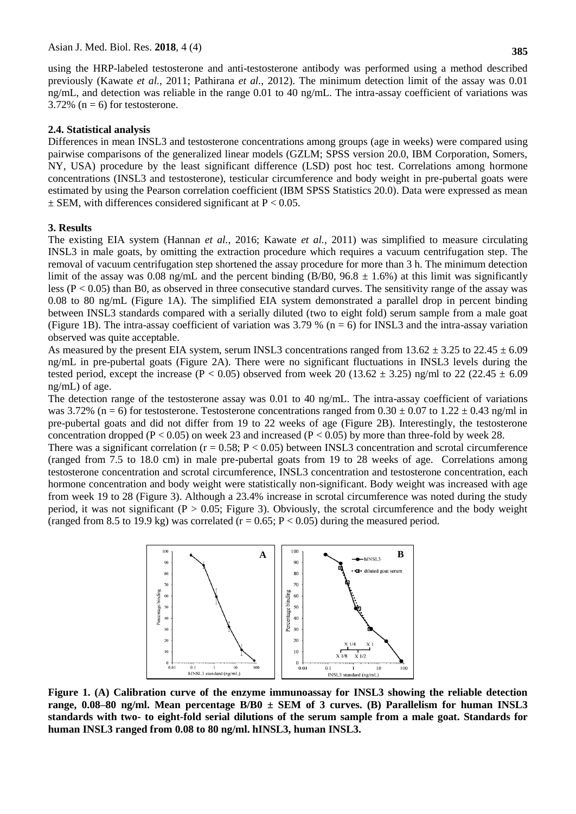using the HRP-labeled testosterone and anti-testosterone antibody was performed using a method described previously (Kawate *et al.*, 2011; Pathirana *et al.*, 2012). The minimum detection limit of the assay was 0.01 ng/mL, and detection was reliable in the range 0.01 to 40 ng/mL. The intra-assay coefficient of variations was 3.72% ( $n = 6$ ) for testosterone.

#### **2.4. Statistical analysis**

Differences in mean INSL3 and testosterone concentrations among groups (age in weeks) were compared using pairwise comparisons of the generalized linear models (GZLM; SPSS version 20.0, IBM Corporation, Somers, NY, USA) procedure by the least significant difference (LSD) post hoc test. Correlations among hormone concentrations (INSL3 and testosterone), testicular circumference and body weight in pre-pubertal goats were estimated by using the Pearson correlation coefficient (IBM SPSS Statistics 20.0). Data were expressed as mean  $\pm$  SEM, with differences considered significant at P < 0.05.

#### **3. Results**

The existing EIA system (Hannan *et al.*, 2016; Kawate *et al.*, 2011) was simplified to measure circulating INSL3 in male goats, by omitting the extraction procedure which requires a vacuum centrifugation step. The removal of vacuum centrifugation step shortened the assay procedure for more than 3 h. The minimum detection limit of the assay was 0.08 ng/mL and the percent binding (B/B0,  $96.8 \pm 1.6\%$ ) at this limit was significantly less ( $P < 0.05$ ) than B0, as observed in three consecutive standard curves. The sensitivity range of the assay was 0.08 to 80 ng/mL (Figure 1A). The simplified EIA system demonstrated a parallel drop in percent binding between INSL3 standards compared with a serially diluted (two to eight fold) serum sample from a male goat (Figure 1B). The intra-assay coefficient of variation was  $3.79\%$  (n = 6) for INSL3 and the intra-assay variation observed was quite acceptable.

As measured by the present EIA system, serum INSL3 concentrations ranged from  $13.62 \pm 3.25$  to  $22.45 \pm 6.09$ ng/mL in pre-pubertal goats (Figure 2A). There were no significant fluctuations in INSL3 levels during the tested period, except the increase (P < 0.05) observed from week 20 (13.62  $\pm$  3.25) ng/ml to 22 (22.45  $\pm$  6.09 ng/mL) of age.

The detection range of the testosterone assay was 0.01 to 40 ng/mL. The intra-assay coefficient of variations was 3.72% (n = 6) for testosterone. Testosterone concentrations ranged from  $0.30 \pm 0.07$  to  $1.22 \pm 0.43$  ng/ml in pre-pubertal goats and did not differ from 19 to 22 weeks of age (Figure 2B). Interestingly, the testosterone concentration dropped ( $P < 0.05$ ) on week 23 and increased ( $P < 0.05$ ) by more than three-fold by week 28.

There was a significant correlation ( $r = 0.58$ ;  $P < 0.05$ ) between INSL3 concentration and scrotal circumference (ranged from 7.5 to 18.0 cm) in male pre-pubertal goats from 19 to 28 weeks of age. Correlations among testosterone concentration and scrotal circumference, INSL3 concentration and testosterone concentration, each hormone concentration and body weight were statistically non-significant. Body weight was increased with age from week 19 to 28 (Figure 3). Although a 23.4% increase in scrotal circumference was noted during the study period, it was not significant ( $P > 0.05$ ; Figure 3). Obviously, the scrotal circumference and the body weight (ranged from 8.5 to 19.9 kg) was correlated ( $r = 0.65$ ;  $P < 0.05$ ) during the measured period.



**Figure 1. (A) Calibration curve of the enzyme immunoassay for INSL3 showing the reliable detection range, 0.08–80 ng/ml. Mean percentage B/B0 ± SEM of 3 curves. (B) Parallelism for human INSL3 standards with two- to eight-fold serial dilutions of the serum sample from a male goat. Standards for human INSL3 ranged from 0.08 to 80 ng/ml. hINSL3, human INSL3.**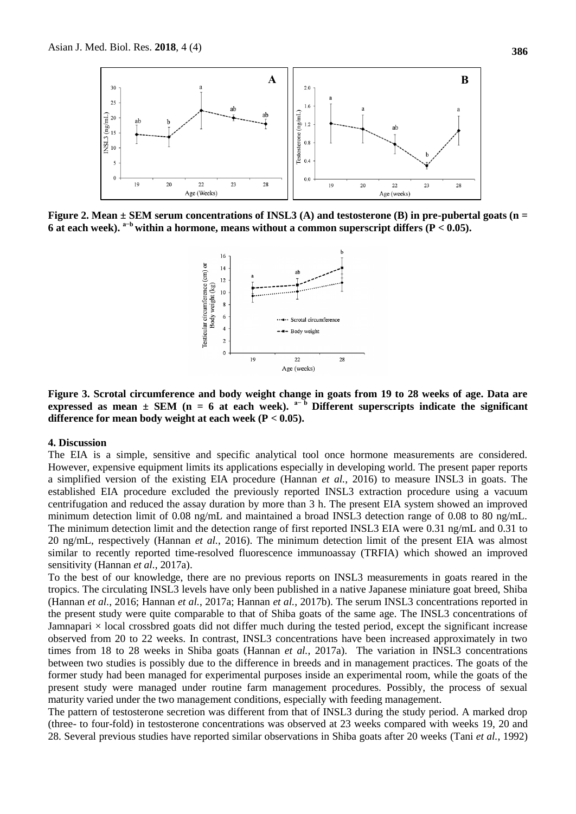

**Figure 2. Mean ± SEM serum concentrations of INSL3 (A) and testosterone (B) in pre-pubertal goats (n =**  6 at each week).  $a^{-b}$  within a hormone, means without a common superscript differs  $(P < 0.05)$ .



**Figure 3. Scrotal circumference and body weight change in goats from 19 to 28 weeks of age. Data are**  expressed as mean  $\pm$  SEM (n = 6 at each week).  $a^{-b}$  Different superscripts indicate the significant **difference for mean body weight at each week (P < 0.05).**

#### **4. Discussion**

The EIA is a simple, sensitive and specific analytical tool once hormone measurements are considered. However, expensive equipment limits its applications especially in developing world. The present paper reports a simplified version of the existing EIA procedure (Hannan *et al.*, 2016) to measure INSL3 in goats. The established EIA procedure excluded the previously reported INSL3 extraction procedure using a vacuum centrifugation and reduced the assay duration by more than 3 h. The present EIA system showed an improved minimum detection limit of 0.08 ng/mL and maintained a broad INSL3 detection range of 0.08 to 80 ng/mL. The minimum detection limit and the detection range of first reported INSL3 EIA were 0.31 ng/mL and 0.31 to 20 ng/mL, respectively (Hannan *et al.*, 2016). The minimum detection limit of the present EIA was almost similar to recently reported time-resolved fluorescence immunoassay (TRFIA) which showed an improved sensitivity (Hannan *et al.*, 2017a).

To the best of our knowledge, there are no previous reports on INSL3 measurements in goats reared in the tropics. The circulating INSL3 levels have only been published in a native Japanese miniature goat breed, Shiba (Hannan *et al.*, 2016; Hannan *et al.*, 2017a; Hannan *et al.*, 2017b). The serum INSL3 concentrations reported in the present study were quite comparable to that of Shiba goats of the same age. The INSL3 concentrations of Jamnapari  $\times$  local crossbred goats did not differ much during the tested period, except the significant increase observed from 20 to 22 weeks. In contrast, INSL3 concentrations have been increased approximately in two times from 18 to 28 weeks in Shiba goats (Hannan *et al.*, 2017a). The variation in INSL3 concentrations between two studies is possibly due to the difference in breeds and in management practices. The goats of the former study had been managed for experimental purposes inside an experimental room, while the goats of the present study were managed under routine farm management procedures. Possibly, the process of sexual maturity varied under the two management conditions, especially with feeding management.

The pattern of testosterone secretion was different from that of INSL3 during the study period. A marked drop (three- to four-fold) in testosterone concentrations was observed at 23 weeks compared with weeks 19, 20 and 28. Several previous studies have reported similar observations in Shiba goats after 20 weeks (Tani *et al.*, 1992)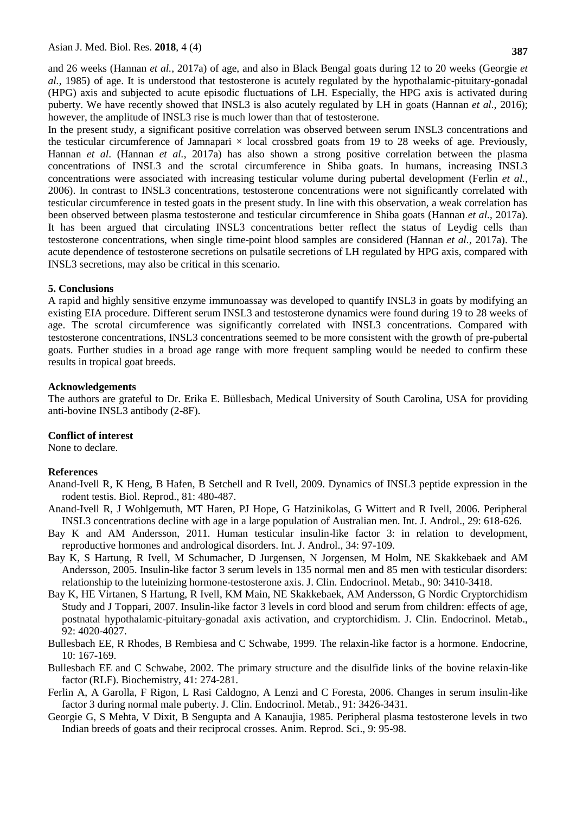and 26 weeks (Hannan *et al.*, 2017a) of age, and also in Black Bengal goats during 12 to 20 weeks (Georgie *et al.*, 1985) of age. It is understood that testosterone is acutely regulated by the hypothalamic-pituitary-gonadal (HPG) axis and subjected to acute episodic fluctuations of LH. Especially, the HPG axis is activated during puberty. We have recently showed that INSL3 is also acutely regulated by LH in goats (Hannan *et al.*, 2016); however, the amplitude of INSL3 rise is much lower than that of testosterone.

In the present study, a significant positive correlation was observed between serum INSL3 concentrations and the testicular circumference of Jamnapari  $\times$  local crossbred goats from 19 to 28 weeks of age. Previously, Hannan *et al*. (Hannan *et al.*, 2017a) has also shown a strong positive correlation between the plasma concentrations of INSL3 and the scrotal circumference in Shiba goats. In humans, increasing INSL3 concentrations were associated with increasing testicular volume during pubertal development (Ferlin *et al.*, 2006). In contrast to INSL3 concentrations, testosterone concentrations were not significantly correlated with testicular circumference in tested goats in the present study. In line with this observation, a weak correlation has been observed between plasma testosterone and testicular circumference in Shiba goats (Hannan *et al.*, 2017a). It has been argued that circulating INSL3 concentrations better reflect the status of Leydig cells than testosterone concentrations, when single time-point blood samples are considered (Hannan *et al.*, 2017a). The acute dependence of testosterone secretions on pulsatile secretions of LH regulated by HPG axis, compared with INSL3 secretions, may also be critical in this scenario.

## **5. Conclusions**

A rapid and highly sensitive enzyme immunoassay was developed to quantify INSL3 in goats by modifying an existing EIA procedure. Different serum INSL3 and testosterone dynamics were found during 19 to 28 weeks of age. The scrotal circumference was significantly correlated with INSL3 concentrations. Compared with testosterone concentrations, INSL3 concentrations seemed to be more consistent with the growth of pre-pubertal goats. Further studies in a broad age range with more frequent sampling would be needed to confirm these results in tropical goat breeds.

## **Acknowledgements**

The authors are grateful to Dr. Erika E. Büllesbach, Medical University of South Carolina, USA for providing anti-bovine INSL3 antibody (2-8F).

# **Conflict of interest**

None to declare.

# **References**

- Anand-Ivell R, K Heng, B Hafen, B Setchell and R Ivell, 2009. Dynamics of INSL3 peptide expression in the rodent testis. Biol. Reprod., 81: 480-487.
- Anand-Ivell R, J Wohlgemuth, MT Haren, PJ Hope, G Hatzinikolas, G Wittert and R Ivell, 2006. Peripheral INSL3 concentrations decline with age in a large population of Australian men. Int. J. Androl., 29: 618-626.
- Bay K and AM Andersson, 2011. Human testicular insulin-like factor 3: in relation to development, reproductive hormones and andrological disorders. Int. J. Androl., 34: 97-109.
- Bay K, S Hartung, R Ivell, M Schumacher, D Jurgensen, N Jorgensen, M Holm, NE Skakkebaek and AM Andersson, 2005. Insulin-like factor 3 serum levels in 135 normal men and 85 men with testicular disorders: relationship to the luteinizing hormone-testosterone axis. J. Clin. Endocrinol. Metab., 90: 3410-3418.
- Bay K, HE Virtanen, S Hartung, R Ivell, KM Main, NE Skakkebaek, AM Andersson, G Nordic Cryptorchidism Study and J Toppari, 2007. Insulin-like factor 3 levels in cord blood and serum from children: effects of age, postnatal hypothalamic-pituitary-gonadal axis activation, and cryptorchidism. J. Clin. Endocrinol. Metab., 92: 4020-4027.
- Bullesbach EE, R Rhodes, B Rembiesa and C Schwabe, 1999. The relaxin-like factor is a hormone. Endocrine, 10: 167-169.
- Bullesbach EE and C Schwabe, 2002. The primary structure and the disulfide links of the bovine relaxin-like factor (RLF). Biochemistry, 41: 274-281.
- Ferlin A, A Garolla, F Rigon, L Rasi Caldogno, A Lenzi and C Foresta, 2006. Changes in serum insulin-like factor 3 during normal male puberty. J. Clin. Endocrinol. Metab., 91: 3426-3431.
- Georgie G, S Mehta, V Dixit, B Sengupta and A Kanaujia, 1985. Peripheral plasma testosterone levels in two Indian breeds of goats and their reciprocal crosses. Anim. Reprod. Sci., 9: 95-98.